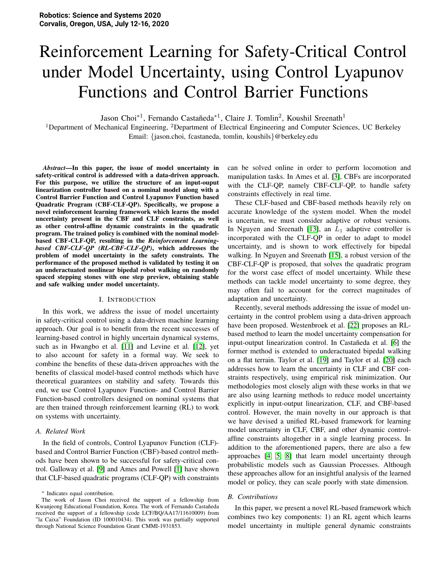# Reinforcement Learning for Safety-Critical Control under Model Uncertainty, using Control Lyapunov Functions and Control Barrier Functions

Jason Choi<sup>\*1</sup>, Fernando Castañeda<sup>\*1</sup>, Claire J. Tomlin<sup>2</sup>, Koushil Sreenath<sup>1</sup>

<sup>1</sup>Department of Mechanical Engineering, <sup>2</sup>Department of Electrical Engineering and Computer Sciences, UC Berkeley Email: {jason.choi, fcastaneda, tomlin, koushils}@berkeley.edu

*Abstract*—In this paper, the issue of model uncertainty in safety-critical control is addressed with a data-driven approach. For this purpose, we utilize the structure of an input-ouput linearization controller based on a nominal model along with a Control Barrier Function and Control Lyapunov Function based Quadratic Program (CBF-CLF-QP). Specifically, we propose a novel reinforcement learning framework which learns the model uncertainty present in the CBF and CLF constraints, as well as other control-affine dynamic constraints in the quadratic program. The trained policy is combined with the nominal modelbased CBF-CLF-QP, resulting in the *Reinforcement Learningbased CBF-CLF-QP (RL-CBF-CLF-QP)*, which addresses the problem of model uncertainty in the safety constraints. The performance of the proposed method is validated by testing it on an underactuated nonlinear bipedal robot walking on randomly spaced stepping stones with one step preview, obtaining stable and safe walking under model uncertainty.

## I. INTRODUCTION

In this work, we address the issue of model uncertainty in safety-critical control using a data-driven machine learning approach. Our goal is to benefit from the recent successes of learning-based control in highly uncertain dynamical systems, such as in Hwangbo et al. [\[11\]](#page-8-0) and Levine et al. [\[12\]](#page-8-1), yet to also account for safety in a formal way. We seek to combine the benefits of these data-driven approaches with the benefits of classical model-based control methods which have theoretical guarantees on stability and safety. Towards this end, we use Control Lyapunov Function- and Control Barrier Function-based controllers designed on nominal systems that are then trained through reinforcement learning (RL) to work on systems with uncertainty.

#### *A. Related Work*

In the field of controls, Control Lyapunov Function (CLF) based and Control Barrier Function (CBF)-based control methods have been shown to be successful for safety-critical control. Galloway et al. [\[9\]](#page-8-2) and Ames and Powell [\[1\]](#page-8-3) have shown that CLF-based quadratic programs (CLF-QP) with constraints

<sup>∗</sup> Indicates equal contribution.

can be solved online in order to perform locomotion and manipulation tasks. In Ames et al. [\[3\]](#page-8-4), CBFs are incorporated with the CLF-QP, namely CBF-CLF-QP, to handle safety constraints effectively in real time.

These CLF-based and CBF-based methods heavily rely on accurate knowledge of the system model. When the model is uncertain, we must consider adaptive or robust versions. In Nguyen and Sreenath [\[13\]](#page-8-5), an  $L_1$  adaptive controller is incorporated with the CLF-QP in order to adapt to model uncertainty, and is shown to work effectively for bipedal walking. In Nguyen and Sreenath [\[15\]](#page-8-6), a robust version of the CBF-CLF-QP is proposed, that solves the quadratic program for the worst case effect of model uncertainty. While these methods can tackle model uncertainty to some degree, they may often fail to account for the correct magnitudes of adaptation and uncertainty.

Recently, several methods addressing the issue of model uncertainty in the control problem using a data-driven approach have been proposed. Westenbroek et al. [\[22\]](#page-8-7) proposes an RLbased method to learn the model uncertainty compensation for input-output linearization control. In Castañeda et al. [\[6\]](#page-8-8) the former method is extended to underactuated bipedal walking on a flat terrain. Taylor et al. [\[19\]](#page-8-9) and Taylor et al. [\[20\]](#page-8-10) each addresses how to learn the uncertainty in CLF and CBF constraints respectively, using empirical risk minimization. Our methodologies most closely align with these works in that we are also using learning methods to reduce model uncertainty explicitly in input-output linearization, CLF, and CBF-based control. However, the main novelty in our approach is that we have devised a unified RL-based framework for learning model uncertainty in CLF, CBF, and other dynamic controlaffine constraints altogether in a single learning process. In addition to the aforementioned papers, there are also a few approaches [\[4,](#page-8-11) [5,](#page-8-12) [8\]](#page-8-13) that learn model uncertainty through probabilistic models such as Gaussian Processes. Although these approaches allow for an insightful analysis of the learned model or policy, they can scale poorly with state dimension.

# *B. Contributions*

In this paper, we present a novel RL-based framework which combines two key components: 1) an RL agent which learns model uncertainty in multiple general dynamic constraints

The work of Jason Choi received the support of a fellowship from Kwanjeong Educational Foundation, Korea. The work of Fernando Castañeda received the support of a fellowship (code LCF/BQ/AA17/11610009) from "la Caixa" Foundation (ID 100010434). This work was partially supported through National Science Foundation Grant CMMI-1931853.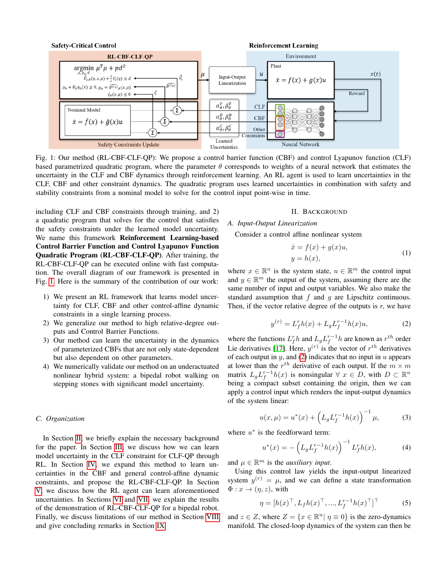<span id="page-1-0"></span>

Fig. 1: Our method (RL-CBF-CLF-QP): We propose a control barrier function (CBF) and control Lyapunov function (CLF) based parametrized quadratic program, where the parameter  $\theta$  corresponds to weights of a neural network that estimates the uncertainty in the CLF and CBF dynamics through reinforcement learning. An RL agent is used to learn uncertainties in the CLF, CBF and other constraint dynamics. The quadratic program uses learned uncertainties in combination with safety and stability constraints from a nominal model to solve for the control input point-wise in time.

including CLF and CBF constraints through training, and 2) a quadratic program that solves for the control that satisfies the safety constraints under the learned model uncertainty. We name this framework Reinforcement Learning-based Control Barrier Function and Control Lyapunov Function Quadratic Program (RL-CBF-CLF-QP). After training, the RL-CBF-CLF-QP can be executed online with fast computation. The overall diagram of our framework is presented in Fig. [1.](#page-1-0) Here is the summary of the contribution of our work:

- 1) We present an RL framework that learns model uncertainty for CLF, CBF and other control-affine dynamic constraints in a single learning process.
- 2) We generalize our method to high relative-degree outputs and Control Barrier Functions.
- 3) Our method can learn the uncertainty in the dynamics of parameterized CBFs that are not only state-dependent but also dependent on other parameters.
- 4) We numerically validate our method on an underactuated nonlinear hybrid system: a bipedal robot walking on stepping stones with significant model uncertainty.

## *C. Organization*

In Section [II,](#page-1-1) we briefly explain the necessary background for the paper. In Section [III,](#page-2-0) we discuss how we can learn model uncertainty in the CLF constraint for CLF-QP through RL. In Section [IV,](#page-4-0) we expand this method to learn uncertainties in the CBF and general control-affine dynamic constraints, and propose the RL-CBF-CLF-QP. In Section [V,](#page-4-1) we discuss how the RL agent can learn aforementioned uncertainties. In Sections [VI](#page-5-0) and [VII,](#page-5-1) we explain the results of the demonstration of RL-CBF-CLF-QP for a bipedal robot. Finally, we discuss limitations of our method in Section [VIII](#page-7-0) and give concluding remarks in Section [IX.](#page-7-1)

## II. BACKGROUND

#### <span id="page-1-1"></span>*A. Input-Output Linearization*

Consider a control affine nonlinear system

<span id="page-1-3"></span>
$$
\begin{aligned} \dot{x} &= f(x) + g(x)u, \\ y &= h(x), \end{aligned} \tag{1}
$$

where  $x \in \mathbb{R}^n$  is the system state,  $u \in \mathbb{R}^m$  the control input and  $y \in \mathbb{R}^m$  the output of the system, assuming there are the same number of input and output variables. We also make the standard assumption that  $f$  and  $g$  are Lipschitz continuous. Then, if the vector relative degree of the outputs is *r*, we have

$$
y^{(r)} = L_f^r h(x) + L_g L_f^{r-1} h(x) u,
$$
 (2)

<span id="page-1-2"></span>where the functions  $L_f^r h$  and  $L_g L_f^{r-1} h$  are known as  $r^{th}$  order Lie derivatives [\[17\]](#page-8-14). Here,  $y^{(r)}$  is the vector of  $r^{th}$  derivatives of each output in  $y$ , and [\(2\)](#page-1-2) indicates that no input in  $u$  appears at lower than the  $r^{th}$  derivative of each output. If the  $m \times m$ matrix  $L_g L_f^{r-1} h(x)$  is nonsingular  $\forall x \in D$ , with  $D \subset \mathbb{R}^n$ being a compact subset containing the origin, then we can apply a control input which renders the input-output dynamics of the system linear:

<span id="page-1-4"></span>
$$
u(x,\mu) = u^*(x) + \left(L_g L_f^{r-1} h(x)\right)^{-1} \mu,\tag{3}
$$

where  $u^*$  is the feedforward term:

$$
u^*(x) = -\left(L_g L_f^{r-1} h(x)\right)^{-1} L_f^r h(x), \tag{4}
$$

and  $\mu \in \mathbb{R}^m$  is the *auxiliary input*.

Using this control law yields the input-output linearized system  $y^{(r)} = \mu$ , and we can define a state transformation  $\Phi: x \to (\eta, z)$ , with

$$
\eta = [h(x)^{\top}, L_f h(x)^{\top}, ..., L_f^{r-1} h(x)^{\top}]^{\top}
$$
 (5)

and  $z \in Z$ , where  $Z = \{x \in \mathbb{R}^n | \eta \equiv 0\}$  is the zero-dynamics manifold. The closed-loop dynamics of the system can then be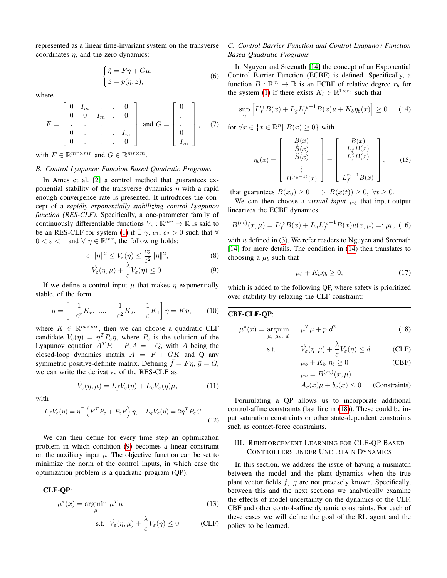<span id="page-2-4"></span>represented as a linear time-invariant system on the transverse coordinates  $\eta$ , and the zero-dynamics:

$$
\begin{cases} \dot{\eta} = F\eta + G\mu, \\ \dot{z} = p(\eta, z), \end{cases}
$$
 (6)

where

$$
F = \begin{bmatrix} 0 & I_m & . & . & 0 \\ 0 & 0 & I_m & . & 0 \\ . & . & . & . & \vdots \\ 0 & . & . & . & I_m \\ 0 & . & . & . & 0 \end{bmatrix} \text{ and } G = \begin{bmatrix} 0 \\ . \\ . \\ 0 \\ I_m \end{bmatrix}, \quad (7)
$$

with  $F \in \mathbb{R}^{mr \times mr}$  and  $G \in \mathbb{R}^{mr \times m}$ .

# *B. Control Lyapunov Function Based Quadratic Programs*

In Ames et al. [\[2\]](#page-8-15) a control method that guarantees exponential stability of the transverse dynamics  $\eta$  with a rapid enough convergence rate is presented. It introduces the concept of a *rapidly exponentially stabilizing control Lyapunov function (RES-CLF)*. Specifically, a one-parameter family of continuously differentiable functions  $V_{\varepsilon} : \mathbb{R}^{mr} \to \mathbb{R}$  is said to be an RES-CLF for system [\(1\)](#page-1-3) if  $\exists \gamma, c_1, c_2 > 0$  such that  $\forall$  $0 < \varepsilon < 1$  and  $\forall \eta \in \mathbb{R}^{mr}$ , the following holds:

$$
c_1 \|\eta\|^2 \le V_{\varepsilon}(\eta) \le \frac{c_2}{\varepsilon^2} \|\eta\|^2,\tag{8}
$$

$$
\dot{V}_{\varepsilon}(\eta,\mu) + \frac{\lambda}{\varepsilon} V_{\varepsilon}(\eta) \le 0. \tag{9}
$$

<span id="page-2-1"></span>If we define a control input  $\mu$  that makes  $\eta$  exponentially stable, of the form

$$
\mu = \left[ -\frac{1}{\varepsilon^r} K_r, \ \dots, \ -\frac{1}{\varepsilon^2} K_2, \ -\frac{1}{\varepsilon} K_1 \right] \eta = K \eta, \tag{10}
$$

where  $K \in \mathbb{R}^{m \times mr}$ , then we can choose a quadratic CLF candidate  $V_{\varepsilon}(\eta) = \eta^T P_{\varepsilon} \eta$ , where  $P_{\varepsilon}$  is the solution of the Lyapunov equation  $A^T P_{\varepsilon} + P_{\varepsilon} A = -Q$ , with A being the closed-loop dynamics matrix  $A = F + GK$  and Q any symmetric positive-definite matrix. Defining  $\bar{f} = F\eta$ ,  $\bar{g} = G$ , we can write the derivative of the RES-CLF as:

$$
\dot{V}_{\varepsilon}(\eta,\mu) = L_{\bar{f}} V_{\varepsilon}(\eta) + L_{\bar{g}} V_{\varepsilon}(\eta)\mu,
$$
\n(11)

with

$$
L_{\bar{f}}V_{\varepsilon}(\eta) = \eta^T \left( F^T P_{\varepsilon} + P_{\varepsilon} F \right) \eta, \quad L_{\bar{g}}V_{\varepsilon}(\eta) = 2\eta^T P_{\varepsilon} G. \tag{12}
$$

We can then define for every time step an optimization problem in which condition [\(9\)](#page-2-1) becomes a linear constraint on the auxiliary input  $\mu$ . The objective function can be set to minimize the norm of the control inputs, in which case the optimization problem is a quadratic program (QP):

CLF-QP:

$$
\mu^*(x) = \underset{\mu}{\text{argmin}} \ \mu^T \mu \tag{13}
$$

s.t. 
$$
\dot{V}_{\varepsilon}(\eta,\mu) + \frac{\lambda}{\varepsilon} V_{\varepsilon}(\eta) \le 0
$$
 (CLF)

# *C. Control Barrier Function and Control Lyapunov Function Based Quadratic Programs*

In Nguyen and Sreenath [\[14\]](#page-8-16) the concept of an Exponential Control Barrier Function (ECBF) is defined. Specifically, a function  $B : \mathbb{R}^m \to \mathbb{R}$  is an ECBF of relative degree  $r_b$  for the system [\(1\)](#page-1-3) if there exists  $K_b \in \mathbb{R}^{1 \times r_b}$  such that

$$
\sup_{u} \left[ L_f^{r_b} B(x) + L_g L_f^{r_b - 1} B(x) u + K_b \eta_b(x) \right] \ge 0 \tag{14}
$$

for  $\forall x \in \{x \in \mathbb{R}^n \mid B(x) \geq 0\}$  with

<span id="page-2-2"></span>
$$
\eta_b(x) = \begin{bmatrix} B(x) \\ \dot{B}(x) \\ \ddots \\ \dot{B}(x) \\ B^{(r_b-1)}(x) \end{bmatrix} = \begin{bmatrix} B(x) \\ L_f B(x) \\ L_f^2 B(x) \\ \vdots \\ L_f^{r_b-1} B(x) \end{bmatrix}, \quad (15)
$$

that guarantees  $B(x_0) \geq 0 \implies B(x(t)) \geq 0, \forall t \geq 0.$ 

We can then choose a *virtual input*  $\mu_b$  that input-output linearizes the ECBF dynamics:

$$
B^{(r_b)}(x,\mu) = L_f^{r_b} B(x) + L_g L_f^{r_b - 1} B(x) u(x,\mu) =: \mu_b, (16)
$$

with  $u$  defined in [\(3\)](#page-1-4). We refer readers to Nguyen and Sreenath [\[14\]](#page-8-16) for more details. The condition in [\(14\)](#page-2-2) then translates to choosing a  $\mu_b$  such that

<span id="page-2-6"></span>
$$
\mu_b + K_b \eta_b \ge 0,\tag{17}
$$

which is added to the following QP, where safety is prioritized over stability by relaxing the CLF constraint:

### CBF-CLF-QP:

$$
\mu^*(x) = \underset{\mu, \ \mu_b, \ d}{\text{argmin}} \quad \mu^T \mu + p \ d^2 \tag{18}
$$

s.t. 
$$
\dot{V}_{\varepsilon}(\eta,\mu) + \frac{\lambda}{\varepsilon} V_{\varepsilon}(\eta) \le d \qquad \text{(CLF)}
$$

<span id="page-2-3"></span>
$$
\mu_b + K_b \eta_b \ge 0 \tag{CBF}
$$

$$
\mu_b = B^{(r_b)}(x,\mu)
$$

$$
A_c(x)\mu + b_c(x) \le 0 \qquad \text{(Constraints)}
$$

Formulating a QP allows us to incorporate additional control-affine constraints (last line in [\(18\)](#page-2-3)). These could be input saturation constraints or other state-dependent constraints such as contact-force constraints.

# <span id="page-2-0"></span>III. REINFORCEMENT LEARNING FOR CLF-QP BASED CONTROLLERS UNDER UNCERTAIN DYNAMICS

<span id="page-2-5"></span>In this section, we address the issue of having a mismatch between the model and the plant dynamics when the true plant vector fields  $f$ ,  $g$  are not precisely known. Specifically, between this and the next sections we analytically examine the effects of model uncertainty on the dynamics of the CLF, CBF and other control-affine dynamic constraints. For each of these cases we will define the goal of the RL agent and the policy to be learned.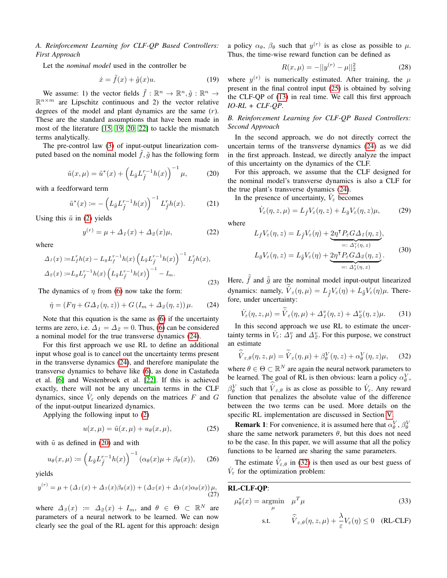<span id="page-3-5"></span>*A. Reinforcement Learning for CLF-QP Based Controllers: First Approach*

Let the *nominal model* used in the controller be

$$
\dot{x} = \tilde{f}(x) + \tilde{g}(x)u.
$$
 (19)

We assume: 1) the vector fields  $\tilde{f} : \mathbb{R}^n \to \mathbb{R}^n, \tilde{g} : \mathbb{R}^n \to$  $\mathbb{R}^{n \times m}$  are Lipschitz continuous and 2) the vector relative degrees of the model and plant dynamics are the same  $(r)$ . These are the standard assumptions that have been made in most of the literature [\[15,](#page-8-6) [19,](#page-8-9) [20,](#page-8-10) [22\]](#page-8-7) to tackle the mismatch terms analytically.

<span id="page-3-1"></span>The pre-control law [\(3\)](#page-1-4) of input-output linearization computed based on the nominal model  $f, \tilde{g}$  has the following form

$$
\tilde{u}(x,\mu) = \tilde{u}^*(x) + \left(L_{\tilde{g}}L_{\tilde{f}}^{r-1}h(x)\right)^{-1}\mu,
$$
\n(20)

with a feedforward term

$$
\tilde{u}^*(x) := -\left(L_{\tilde{g}}L_{\tilde{f}}^{r-1}h(x)\right)^{-1}L_{\tilde{f}}^r h(x).
$$
 (21)

Using this  $\tilde{u}$  in [\(2\)](#page-1-2) yields

$$
y^{(r)} = \mu + \Delta_1(x) + \Delta_2(x)\mu,
$$
 (22)

where

<span id="page-3-4"></span>
$$
\Delta_1(x) := L_f^r h(x) - L_g L_f^{r-1} h(x) \left( L_{\tilde{g}} L_{\tilde{f}}^{r-1} h(x) \right)^{-1} L_f^r h(x),
$$
  

$$
\Delta_2(x) := L_g L_f^{r-1} h(x) \left( L_{\tilde{g}} L_{\tilde{f}}^{r-1} h(x) \right)^{-1} - I_m.
$$
 (23)

The dynamics of  $\eta$  from [\(6\)](#page-2-4) now take the form:

$$
\dot{\eta} = (F\eta + G\Delta_1(\eta, z)) + G(I_m + \Delta_2(\eta, z)) \mu. \tag{24}
$$

Note that this equation is the same as [\(6\)](#page-2-4) if the uncertainty terms are zero, i.e.  $\Delta_1 = \Delta_2 = 0$ . Thus, [\(6\)](#page-2-4) can be considered a nominal model for the true transverse dynamics [\(24\)](#page-3-0).

For this first approach we use RL to define an additional input whose goal is to cancel out the uncertainty terms present in the transverse dynamics [\(24\)](#page-3-0), and therefore manipulate the transverse dynamics to behave like [\(6\)](#page-2-4), as done in Castañeda et al. [\[6\]](#page-8-8) and Westenbroek et al. [\[22\]](#page-8-7). If this is achieved exactly, there will not be any uncertain terms in the CLF dynamics, since  $\dot{V}_{\varepsilon}$  only depends on the matrices F and G of the input-output linearized dynamics.

Applying the following input to [\(2\)](#page-1-2)

<span id="page-3-2"></span>
$$
u(x,\mu) = \tilde{u}(x,\mu) + u_{\theta}(x,\mu), \qquad (25)
$$

with  $\tilde{u}$  as defined in [\(20\)](#page-3-1) and with

$$
u_{\theta}(x,\mu) := \left(L_{\tilde{g}}L_{\tilde{f}}^{r-1}h(x)\right)^{-1}(\alpha_{\theta}(x)\mu + \beta_{\theta}(x)),\qquad(26)
$$

yields

$$
y^{(r)} = \mu + (\Delta_1(x) + \Delta_3(x)\beta_\theta(x)) + (\Delta_2(x) + \Delta_3(x)\alpha_\theta(x))\mu,
$$
\n(27)

where  $\Delta_3(x) := \Delta_2(x) + I_m$ , and  $\theta \in \Theta \subset \mathbb{R}^N$  are parameters of a neural network to be learned. We can now clearly see the goal of the RL agent for this approach: design a policy  $\alpha_{\theta}$ ,  $\beta_{\theta}$  such that  $y^{(r)}$  is as close as possible to  $\mu$ . Thus, the time-wise reward function can be defined as

$$
R(x,\mu) = -||y^{(r)} - \mu||_2^2 \tag{28}
$$

where  $y^{(r)}$  is numerically estimated. After training, the  $\mu$ present in the final control input [\(25\)](#page-3-2) is obtained by solving the CLF-QP of [\(13\)](#page-2-5) in real time. We call this first approach *IO-RL + CLF-QP*.

# <span id="page-3-6"></span>*B. Reinforcement Learning for CLF-QP Based Controllers: Second Approach*

In the second approach, we do not directly correct the uncertain terms of the transverse dynamics [\(24\)](#page-3-0) as we did in the first approach. Instead, we directly analyze the impact of this uncertainty on the dynamics of the CLF.

For this approach, we assume that the CLF designed for the nominal model's transverse dynamics is also a CLF for the true plant's transverse dynamics [\(24\)](#page-3-0).

In the presence of uncertainty,  $\dot{V}_{\varepsilon}$  becomes

$$
\dot{V}_{\varepsilon}(\eta, z, \mu) = L_{\bar{f}} V_{\varepsilon}(\eta, z) + L_{\bar{g}} V_{\varepsilon}(\eta, z) \mu,
$$
 (29)

where

$$
L_{\tilde{f}}V_{\varepsilon}(\eta, z) = L_{\tilde{f}}V_{\varepsilon}(\eta) + \underbrace{2\eta^{\mathsf{T}}P_{\varepsilon}G\Delta_{1}(\eta, z)}_{=: \Delta_{1}^{\tilde{v}}(\eta, z)},
$$
  
\n
$$
L_{\tilde{g}}V_{\varepsilon}(\eta, z) = L_{\tilde{g}}V_{\varepsilon}(\eta) + \underbrace{2\eta^{\mathsf{T}}P_{\varepsilon}G\Delta_{2}(\eta, z)}_{=: \Delta_{2}^{\tilde{v}}(\eta, z)}.
$$
\n(30)

<span id="page-3-0"></span>Here,  $\tilde{f}$  and  $\tilde{g}$  are the nominal model input-output linearized dynamics: namely,  $\dot{V}_{\varepsilon}(\eta,\mu) = L_{\tilde{f}}V_{\varepsilon}(\eta) + L_{\tilde{g}}V_{\varepsilon}(\eta)\mu$ . Therefore, under uncertainty:

$$
\dot{V}_{\varepsilon}(\eta, z, \mu) = \dot{V}_{\varepsilon}(\eta, \mu) + \Delta_{\mathcal{I}}^v(\eta, z) + \Delta_{\mathcal{Z}}^v(\eta, z)\mu.
$$
 (31)

In this second approach we use RL to estimate the uncertainty terms in  $\dot{V}_{\varepsilon}$ :  $\Delta_{\iota}^v$  and  $\Delta_{\iota}^v$ . For this purpose, we construct an estimate

<span id="page-3-3"></span>
$$
\widehat{V}_{\varepsilon,\theta}(\eta,z,\mu) = \widetilde{V}_{\varepsilon}(\eta,\mu) + \beta_{\theta}^{V}(\eta,z) + \alpha_{\theta}^{V}(\eta,z)\mu, \quad (32)
$$

where  $\theta \in \Theta \subset \mathbb{R}^N$  are again the neural network parameters to be learned. The goal of RL is then obvious: learn a policy  $\alpha_{\theta}^{V}$ ,  $\beta_{\theta}^{V}$  such that  $\dot{V}_{\varepsilon,\theta}$  is as close as possible to  $\dot{V}_{\varepsilon}$ . Any reward function that penalizes the absolute value of the difference between the two terms can be used. More details on the specific RL implementation are discussed in Section [V.](#page-4-1)

**Remark 1**: For convenience, it is assumed here that  $\alpha_{\theta}^{V}$ ,  $\beta_{\theta}^{V}$ share the same network parameters  $\theta$ , but this does not need to be the case. In this paper, we will assume that all the policy functions to be learned are sharing the same parameters.

The estimate  $\hat{V}_{\varepsilon,\theta}$  in [\(32\)](#page-3-3) is then used as our best guess of  $\dot{V}_{\varepsilon}$  for the optimization problem:

# RL-CLF-QP:

$$
\mu_{\theta}^*(x) = \underset{\mu}{\text{argmin}} \quad \mu^T \mu \tag{33}
$$

s.t. 
$$
\hat{\dot{V}}_{\varepsilon,\theta}(\eta,z,\mu) + \frac{\lambda}{\varepsilon} V_{\varepsilon}(\eta) \leq 0 \quad (RL-CLF)
$$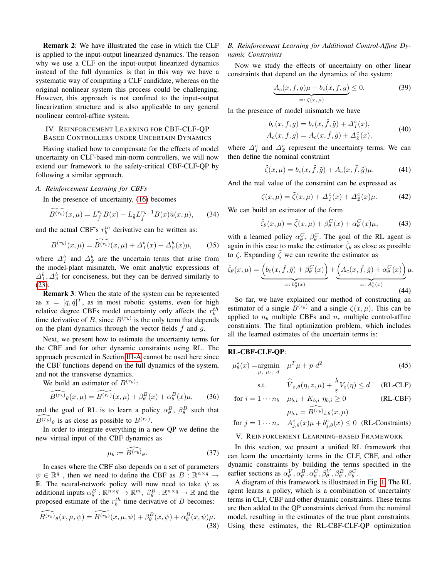Remark 2: We have illustrated the case in which the CLF is applied to the input-output linearized dynamics. The reason why we use a CLF on the input-output linearized dynamics instead of the full dynamics is that in this way we have a systematic way of computing a CLF candidate, whereas on the original nonlinear system this process could be challenging. However, this approach is not confined to the input-output linearization structure and is also applicable to any general nonlinear control-affine system.

# <span id="page-4-0"></span>IV. REINFORCEMENT LEARNING FOR CBF-CLF-QP BASED CONTROLLERS UNDER UNCERTAIN DYNAMICS

Having studied how to compensate for the effects of model uncertainty on CLF-based min-norm controllers, we will now extend our framework to the safety-critical CBF-CLF-QP by following a similar approach.

# *A. Reinforcement Learning for CBFs*

In the presence of uncertainty, [\(16\)](#page-2-6) becomes

$$
\widetilde{B^{(r_b)}}(x,\mu) = L_{\tilde{f}}^{r_b} B(x) + L_{\tilde{g}} L_{\tilde{f}}^{r_b - 1} B(x) \tilde{u}(x,\mu), \qquad (34)
$$

and the actual CBF's  $r_b^{th}$  derivative can be written as:

$$
B^{(r_b)}(x,\mu) = \widetilde{B^{(r_b)}}(x,\mu) + \Delta_1^b(x) + \Delta_2^b(x)\mu, \qquad (35)
$$

where  $\Delta_1^b$  and  $\Delta_2^b$  are the uncertain terms that arise from the model-plant mismatch. We omit analytic expressions of  $\Delta_1^b$ ,  $\Delta_2^b$  for conciseness, but they can be derived similarly to [\(23\)](#page-3-4).

Remark 3: When the state of the system can be represented as  $x = [q, \dot{q}]^T$ , as in most robotic systems, even for high relative degree CBFs model uncertainty only affects the  $r_b^{th}$ time derivative of B, since  $B^{(r_b)}$  is the only term that depends on the plant dynamics through the vector fields  $f$  and  $g$ .

Next, we present how to estimate the uncertainty terms for the CBF and for other dynamic constraints using RL. The approach presented in Section [III-A](#page-3-5) cannot be used here since the CBF functions depend on the full dynamics of the system, and not the transverse dynamics.

We build an estimator of  $B^{(r_b)}$ :

$$
\widehat{B^{(r_b)}}_{\theta}(x,\mu) = \widetilde{B^{(r_b)}}(x,\mu) + \beta_{\theta}^B(x) + \alpha_{\theta}^B(x)\mu, \qquad (36)
$$

and the goal of RL is to learn a policy  $\alpha_{\theta}^{B}$ ,  $\beta_{\theta}^{B}$  such that  $\widehat{B^{(r_b)}}_{\theta}$  is as close as possible to  $B^{(r_b)}$ .

In order to integrate everything in a new QP we define the new virtual input of the CBF dynamics as

$$
\mu_b := \widehat{B^{(r_b)}}_{\theta}.
$$
\n(37)

In cases where the CBF also depends on a set of parameters  $\psi \in \mathbb{R}^q$ , then we need to define the CBF as  $B: \mathbb{R}^{n \times q} \to$ R. The neural-network policy will now need to take  $\psi$  as additional inputs  $\alpha_{\theta}^B : \mathbb{R}^{n \times q} \to \mathbb{R}^m$ ,  $\beta_{\theta}^B : \mathbb{R}^{n \times q} \to \mathbb{R}$  and the proposed estimate of the  $r_b^{th}$  time derivative of B becomes:

$$
\widehat{B^{(r_b)}}_{\theta}(x,\mu,\psi) = \widetilde{B^{(r_b)}}(x,\mu,\psi) + \beta_{\theta}^{B}(x,\psi) + \alpha_{\theta}^{B}(x,\psi)\mu.
$$
\n(38)

# <span id="page-4-3"></span>*B. Reinforcement Learning for Additional Control-Affine Dynamic Constraints*

Now we study the effects of uncertainty on other linear constraints that depend on the dynamics of the system:

$$
\underbrace{A_c(x,f,g)\mu + b_c(x,f,g)}_{=: \zeta(x,\mu)} \le 0. \tag{39}
$$

In the presence of model mismatch we have

$$
b_c(x, f, g) = b_c(x, \tilde{f}, \tilde{g}) + \Delta^c_1(x), A_c(x, f, g) = A_c(x, \tilde{f}, \tilde{g}) + \Delta^c_2(x),
$$
 (40)

where  $\Delta_1^c$  and  $\Delta_2^c$  represent the uncertainty terms. We can then define the nominal constraint

$$
\tilde{\zeta}(x,\mu) = b_c(x,\tilde{f},\tilde{g}) + A_c(x,\tilde{f},\tilde{g})\mu.
$$
 (41)

And the real value of the constraint can be expressed as

$$
\zeta(x,\mu) = \tilde{\zeta}(x,\mu) + \Delta^c_1(x) + \Delta^c_2(x)\mu.
$$
 (42)

We can build an estimator of the form

$$
\hat{\zeta}_{\theta}(x,\mu) = \tilde{\zeta}(x,\mu) + \beta_{\theta}^{C}(x) + \alpha_{\theta}^{C}(x)\mu,
$$
\n(43)

with a learned policy  $\alpha_{\theta}^C$ ,  $\beta_{\theta}^C$ . The goal of the RL agent is again in this case to make the estimator  $\hat{\zeta}_{\theta}$  as close as possible to  $ζ$ . Expanding  $ζ$  we can rewrite the estimator as

$$
\hat{\zeta}_{\theta}(x,\mu) = \underbrace{\left(b_c(x,\tilde{f},\tilde{g}) + \beta_{\theta}^C(x)\right)}_{=: b_{\theta}^c(x)} + \underbrace{\left(A_c(x,\tilde{f},\tilde{g}) + \alpha_{\theta}^C(x)\right)}_{=: A_{\theta}^c(x)} \mu.
$$
\n(44)

So far, we have explained our method of constructing an estimator of a single  $B^{(r_b)}$  and a single  $\zeta(x,\mu)$ . This can be applied to  $n_b$  multiple CBFs and  $n_c$  multiple control-affine constraints. The final optimization problem, which includes all the learned estimates of the uncertain terms is:

# RL-CBF-CLF-QP:

$$
\mu_{\theta}^*(x) = \underset{\mu, \ \mu_b, \ d}{\text{argmin}} \quad \mu^T \mu + p \ d^2 \tag{45}
$$

<span id="page-4-2"></span>s.t. 
$$
\hat{V}_{\varepsilon,\theta}(\eta,z,\mu) + \frac{\lambda}{\varepsilon} V_{\varepsilon}(\eta) \leq d \quad \text{(RL-CLF)}
$$

for 
$$
i = 1 \cdots n_b
$$
  $\mu_{b,i} + K_{b,i} \eta_{b,i} \ge 0$  (RL-CBF)  

$$
\mu_{b,i} = \overline{B^{(r_b)}}_{i,\theta}(x,\mu)
$$

for 
$$
j = 1 \cdots n_c
$$
  $A_{j,\theta}^c(x)\mu + b_{j,\theta}^c(x) \le 0$  (RL-Constraints)

# <span id="page-4-1"></span>V. REINFORCEMENT LEARNING-BASED FRAMEWORK

In this section, we present a unified RL framework that can learn the uncertainty terms in the CLF, CBF, and other dynamic constraints by building the terms specified in the earlier sections as  $\alpha_{\theta}^V$ ,  $\alpha_{\theta}^B$ ,  $\alpha_{\theta}^C$ ,  $\beta_{\theta}^V$ ,  $\beta_{\theta}^B$ ,  $\beta_{\theta}^C$ .

A diagram of this framework is illustrated in Fig. [1.](#page-1-0) The RL agent learns a policy, which is a combination of uncertainty terms in CLF, CBF and other dynamic constraints. These terms are then added to the QP constraints derived from the nominal model, resulting in the estimates of the true plant constraints. Using these estimates, the RL-CBF-CLF-QP optimization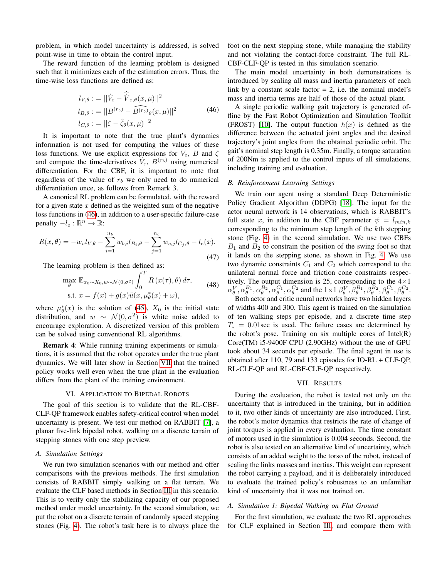problem, in which model uncertainty is addressed, is solved point-wise in time to obtain the control input.

<span id="page-5-2"></span>The reward function of the learning problem is designed such that it minimizes each of the estimation errors. Thus, the time-wise loss functions are defined as:

$$
l_{V,\theta} := ||\dot{V}_{\varepsilon} - \hat{\dot{V}}_{\varepsilon,\theta}(x,\mu)||^2
$$
  
\n
$$
l_{B,\theta} := ||B^{(r_b)} - \widehat{B^{(r_b)}}_{\theta}(x,\mu)||^2
$$
  
\n
$$
l_{C,\theta} := ||\zeta - \hat{\zeta}_{\theta}(x,\mu)||^2
$$
\n(46)

It is important to note that the true plant's dynamics information is not used for computing the values of these loss functions. We use explicit expressions for  $V_{\varepsilon}$ , B and  $\zeta$ and compute the time-derivatives  $V_{\varepsilon}$ ,  $B^{(r_b)}$  using numerical differentiation. For the CBF, it is important to note that regardless of the value of  $r_b$  we only need to do numerical differentiation once, as follows from Remark 3.

A canonical RL problem can be formulated, with the reward for a given state x defined as the weighted sum of the negative loss functions in [\(46\)](#page-5-2), in addition to a user-specific failure-case penalty  $-l_e : \mathbb{R}^n \to \mathbb{R}$ :

$$
R(x,\theta) = -w_v l_{V,\theta} - \sum_{i=1}^{n_b} w_{b,i} l_{B_i,\theta} - \sum_{j=1}^{n_c} w_{c,j} l_{C_j,\theta} - l_e(x).
$$
\n(47)

The learning problem is then defined as:

$$
\max_{\theta} \mathbb{E}_{x_0 \sim X_0, w \sim \mathcal{N}(0, \sigma^2)} \int_0^{\infty} R(x(\tau), \theta) d\tau,
$$
  
s.t.  $\dot{x} = f(x) + g(x) \tilde{u}(x, \mu_{\theta}^*(x) + \omega),$  (48)

 $cT$ 

where  $\mu^*_{\theta}(x)$  is the solution of [\(45\)](#page-4-2),  $X_0$  is the initial state distribution, and  $w \sim \mathcal{N}(0, \sigma^2)$  is white noise added to encourage exploration. A discretized version of this problem can be solved using conventional RL algorithms.

Remark 4: While running training experiments or simulations, it is assumed that the robot operates under the true plant dynamics. We will later show in Section [VII](#page-5-1) that the trained policy works well even when the true plant in the evaluation differs from the plant of the training environment.

### VI. APPLICATION TO BIPEDAL ROBOTS

<span id="page-5-0"></span>The goal of this section is to validate that the RL-CBF-CLF-QP framework enables safety-critical control when model uncertainty is present. We test our method on RABBIT [\[7\]](#page-8-17), a planar five-link bipedal robot, walking on a discrete terrain of stepping stones with one step preview.

# *A. Simulation Settings*

We run two simulation scenarios with our method and offer comparisons with the previous methods. The first simulation consists of RABBIT simply walking on a flat terrain. We evaluate the CLF based methods in Section [III](#page-2-0) in this scenario. This is to verify only the stabilizing capacity of our proposed method under model uncertainty. In the second simulation, we put the robot on a discrete terrain of randomly spaced stepping stones (Fig. [4\)](#page-6-0). The robot's task here is to always place the foot on the next stepping stone, while managing the stability and not violating the contact-force constraint. The full RL-CBF-CLF-QP is tested in this simulation scenario.

The main model uncertainty in both demonstrations is introduced by scaling all mass and inertia parameters of each link by a constant scale factor  $= 2$ , i.e. the nominal model's mass and inertia terms are half of those of the actual plant.

A single periodic walking gait trajectory is generated offline by the Fast Robot Optimization and Simulation Toolkit (FROST) [\[10\]](#page-8-18). The output function  $h(x)$  is defined as the difference between the actuated joint angles and the desired trajectory's joint angles from the obtained periodic orbit. The gait's nominal step length is 0.35m. Finally, a torque saturation of 200Nm is applied to the control inputs of all simulations, including training and evaluation.

#### *B. Reinforcement Learning Settings*

We train our agent using a standard Deep Deterministic Policy Gradient Algorithm (DDPG) [\[18\]](#page-8-19). The input for the actor neural network is 14 observations, which is RABBIT's full state x, in addition to the CBF parameter  $\psi = l_{min,k}$ corresponding to the minimum step length of the kth stepping stone (Fig. [4\)](#page-6-0) in the second simulation. We use two CBFs  $B_1$  and  $B_2$  to constrain the position of the swing foot so that it lands on the stepping stone, as shown in Fig. [4.](#page-6-0) We use two dynamic constraints  $C_1$  and  $C_2$  which correspond to the unilateral normal force and friction cone constraints respectively. The output dimension is 25, corresponding to the  $4\times1$  $\alpha_{\theta}^V, \alpha_{\theta}^{B_1}, \alpha_{\theta}^{B_2}, \alpha_{\theta}^{C_1}, \alpha_{\theta}^{C_2}$  and the  $1 \times 1$   $\beta_{\theta}^V, \beta_{\theta}^{B_1}, \beta_{\theta}^{B_2}, \beta_{\theta}^{C_1}, \beta_{\theta}^{C_2}$ .

Both actor and critic neural networks have two hidden layers of widths 400 and 300. This agent is trained on the simulation of ten walking steps per episode, and a discrete time step  $T_s = 0.01$  sec is used. The failure cases are determined by the robot's pose. Training on six multiple cores of Intel(R) Core(TM) i5-9400F CPU (2.90GHz) without the use of GPU took about 34 seconds per episode. The final agent in use is obtained after 110, 79 and 133 episodes for IO-RL + CLF-QP, RL-CLF-QP and RL-CBF-CLF-QP respectively.

#### VII. RESULTS

<span id="page-5-1"></span>During the evaluation, the robot is tested not only on the uncertainty that is introduced in the training, but in addition to it, two other kinds of uncertainty are also introduced. First, the robot's motor dynamics that restricts the rate of change of joint torques is applied in every evaluation. The time constant of motors used in the simulation is 0.004 seconds. Second, the robot is also tested on an alternative kind of uncertainty, which consists of an added weight to the torso of the robot, instead of scaling the links masses and inertias. This weight can represent the robot carrying a payload, and it is deliberately introduced to evaluate the trained policy's robustness to an unfamiliar kind of uncertainty that it was not trained on.

# *A. Simulation 1: Bipedal Walking on Flat Ground*

For the first simulation, we evaluate the two RL approaches for CLF explained in Section [III,](#page-2-0) and compare them with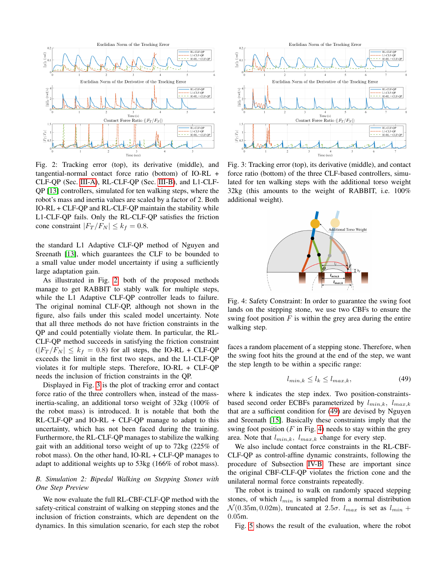<span id="page-6-1"></span>

Fig. 2: Tracking error (top), its derivative (middle), and tangential-normal contact force ratio (bottom) of IO-RL + CLF-QP (Sec. [III-A\)](#page-3-5), RL-CLF-QP (Sec. [III-B\)](#page-3-6), and L1-CLF-QP [\[13\]](#page-8-5) controllers, simulated for ten walking steps, where the robot's mass and inertia values are scaled by a factor of 2. Both IO-RL + CLF-QP and RL-CLF-QP maintain the stability while L1-CLF-QP fails. Only the RL-CLF-QP satisfies the friction cone constraint  $|F_T/F_N| \leq k_f = 0.8$ .

the standard L1 Adaptive CLF-QP method of Nguyen and Sreenath [\[13\]](#page-8-5), which guarantees the CLF to be bounded to a small value under model uncertainty if using a sufficiently large adaptation gain.

As illustrated in Fig. [2,](#page-6-1) both of the proposed methods manage to get RABBIT to stably walk for multiple steps, while the L1 Adaptive CLF-QP controller leads to failure. The original nominal CLF-QP, although not shown in the figure, also fails under this scaled model uncertainty. Note that all three methods do not have friction constraints in the QP and could potentially violate them. In particular, the RL-CLF-QP method succeeds in satisfying the friction constraint  $(|F_T/F_N| \leq k_f = 0.8)$  for all steps, the IO-RL + CLF-QP exceeds the limit in the first two steps, and the L1-CLF-QP violates it for multiple steps. Therefore, IO-RL + CLF-QP needs the inclusion of friction constraints in the QP.

Displayed in Fig. [3](#page-6-2) is the plot of tracking error and contact force ratio of the three controllers when, instead of the massinertia-scaling, an additional torso weight of 32kg (100% of the robot mass) is introduced. It is notable that both the RL-CLF-QP and IO-RL + CLF-QP manage to adapt to this uncertainty, which has not been faced during the training. Furthermore, the RL-CLF-QP manages to stabilize the walking gait with an additional torso weight of up to 72kg (225% of robot mass). On the other hand, IO-RL + CLF-QP manages to adapt to additional weights up to 53kg (166% of robot mass).

## *B. Simulation 2: Bipedal Walking on Stepping Stones with One Step Preview*

We now evaluate the full RL-CBF-CLF-QP method with the safety-critical constraint of walking on stepping stones and the inclusion of friction constraints, which are dependent on the dynamics. In this simulation scenario, for each step the robot

<span id="page-6-2"></span>

Fig. 3: Tracking error (top), its derivative (middle), and contact force ratio (bottom) of the three CLF-based controllers, simulated for ten walking steps with the additional torso weight 32kg (this amounts to the weight of RABBIT, i.e. 100% additional weight).

<span id="page-6-0"></span>

Fig. 4: Safety Constraint: In order to guarantee the swing foot lands on the stepping stone, we use two CBFs to ensure the swing foot position  $F$  is within the grey area during the entire walking step.

faces a random placement of a stepping stone. Therefore, when the swing foot hits the ground at the end of the step, we want the step length to be within a specific range:

<span id="page-6-3"></span>
$$
l_{min,k} \le l_k \le l_{max,k},\tag{49}
$$

where k indicates the step index. Two position-constraintsbased second order ECBFs parameterized by  $l_{min,k}$ ,  $l_{max,k}$ that are a sufficient condition for [\(49\)](#page-6-3) are devised by Nguyen and Sreenath [\[15\]](#page-8-6). Basically these constraints imply that the swing foot position ( $F$  in Fig. [4\)](#page-6-0) needs to stay within the grey area. Note that  $l_{min,k}$ ,  $l_{max,k}$  change for every step.

We also include contact force constraints in the RL-CBF-CLF-QP as control-affine dynamic constraints, following the procedure of Subsection [IV-B.](#page-4-3) These are important since the original CBF-CLF-QP violates the friction cone and the unilateral normal force constraints repeatedly.

The robot is trained to walk on randomly spaced stepping stones, of which  $l_{min}$  is sampled from a normal distribution  $\mathcal{N}(0.35m, 0.02m)$ , truncated at  $2.5\sigma$ .  $l_{max}$  is set as  $l_{min}$  + 0.05m.

Fig. [5](#page-7-2) shows the result of the evaluation, where the robot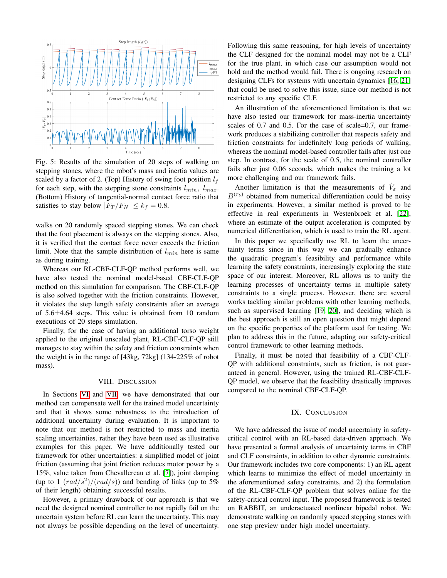<span id="page-7-2"></span>

Fig. 5: Results of the simulation of 20 steps of walking on stepping stones, where the robot's mass and inertia values are scaled by a factor of 2. (Top) History of swing foot position  $l_f$ for each step, with the stepping stone constraints  $l_{min}$ ,  $l_{max}$ . (Bottom) History of tangential-normal contact force ratio that satisfies to stay below  $|F_T/F_N| \leq k_f = 0.8$ .

walks on 20 randomly spaced stepping stones. We can check that the foot placement is always on the stepping stones. Also, it is verified that the contact force never exceeds the friction limit. Note that the sample distribution of  $l_{min}$  here is same as during training.

Whereas our RL-CBF-CLF-QP method performs well, we have also tested the nominal model-based CBF-CLF-QP method on this simulation for comparison. The CBF-CLF-QP is also solved together with the friction constraints. However, it violates the step length safety constraints after an average of 5.6±4.64 steps. This value is obtained from 10 random executions of 20 steps simulation.

Finally, for the case of having an additional torso weight applied to the original unscaled plant, RL-CBF-CLF-QP still manages to stay within the safety and friction constraints when the weight is in the range of [43kg, 72kg] (134-225% of robot mass).

## VIII. DISCUSSION

<span id="page-7-0"></span>In Sections [VI](#page-5-0) and [VII,](#page-5-1) we have demonstrated that our method can compensate well for the trained model uncertainty and that it shows some robustness to the introduction of additional uncertainty during evaluation. It is important to note that our method is not restricted to mass and inertia scaling uncertainties, rather they have been used as illustrative examples for this paper. We have additionally tested our framework for other uncertainties: a simplified model of joint friction (assuming that joint friction reduces motor power by a 15%, value taken from Chevallereau et al. [\[7\]](#page-8-17)), joint damping (up to 1  $\left(\frac{rad}{s^2}\right)/\left(\frac{rad}{s}\right)$ ) and bending of links (up to 5% of their length) obtaining successful results.

However, a primary drawback of our approach is that we need the designed nominal controller to not rapidly fail on the uncertain system before RL can learn the uncertainty. This may not always be possible depending on the level of uncertainty. Following this same reasoning, for high levels of uncertainty the CLF designed for the nominal model may not be a CLF for the true plant, in which case our assumption would not hold and the method would fail. There is ongoing research on designing CLFs for systems with uncertain dynamics [\[16,](#page-8-20) [21\]](#page-8-21) that could be used to solve this issue, since our method is not restricted to any specific CLF.

An illustration of the aforementioned limitation is that we have also tested our framework for mass-inertia uncertainty scales of 0.7 and 0.5. For the case of scale=0.7, our framework produces a stabilizing controller that respects safety and friction constraints for indefinitely long periods of walking, whereas the nominal model-based controller fails after just one step. In contrast, for the scale of 0.5, the nominal controller fails after just 0.06 seconds, which makes the training a lot more challenging and our framework fails.

Another limitation is that the measurements of  $\dot{V}_{\varepsilon}$  and  $B^{(r_b)}$  obtained from numerical differentiation could be noisy in experiments. However, a similar method is proved to be effective in real experiments in Westenbroek et al. [\[22\]](#page-8-7), where an estimate of the output acceleration is computed by numerical differentiation, which is used to train the RL agent.

In this paper we specifically use RL to learn the uncertainty terms since in this way we can gradually enhance the quadratic program's feasibility and performance while learning the safety constraints, increasingly exploring the state space of our interest. Moreover, RL allows us to unify the learning processes of uncertainty terms in multiple safety constraints to a single process. However, there are several works tackling similar problems with other learning methods, such as supervised learning [\[19,](#page-8-9) [20\]](#page-8-10), and deciding which is the best approach is still an open question that might depend on the specific properties of the platform used for testing. We plan to address this in the future, adapting our safety-critical control framework to other learning methods.

Finally, it must be noted that feasibility of a CBF-CLF-QP with additional constraints, such as friction, is not guaranteed in general. However, using the trained RL-CBF-CLF-QP model, we observe that the feasibility drastically improves compared to the nominal CBF-CLF-QP.

### IX. CONCLUSION

<span id="page-7-1"></span>We have addressed the issue of model uncertainty in safetycritical control with an RL-based data-driven approach. We have presented a formal analysis of uncertainty terms in CBF and CLF constraints, in addition to other dynamic constraints. Our framework includes two core components: 1) an RL agent which learns to minimize the effect of model uncertainty in the aforementioned safety constraints, and 2) the formulation of the RL-CBF-CLF-QP problem that solves online for the safety-critical control input. The proposed framework is tested on RABBIT, an underactuated nonlinear bipedal robot. We demonstrate walking on randomly spaced stepping stones with one step preview under high model uncertainty.